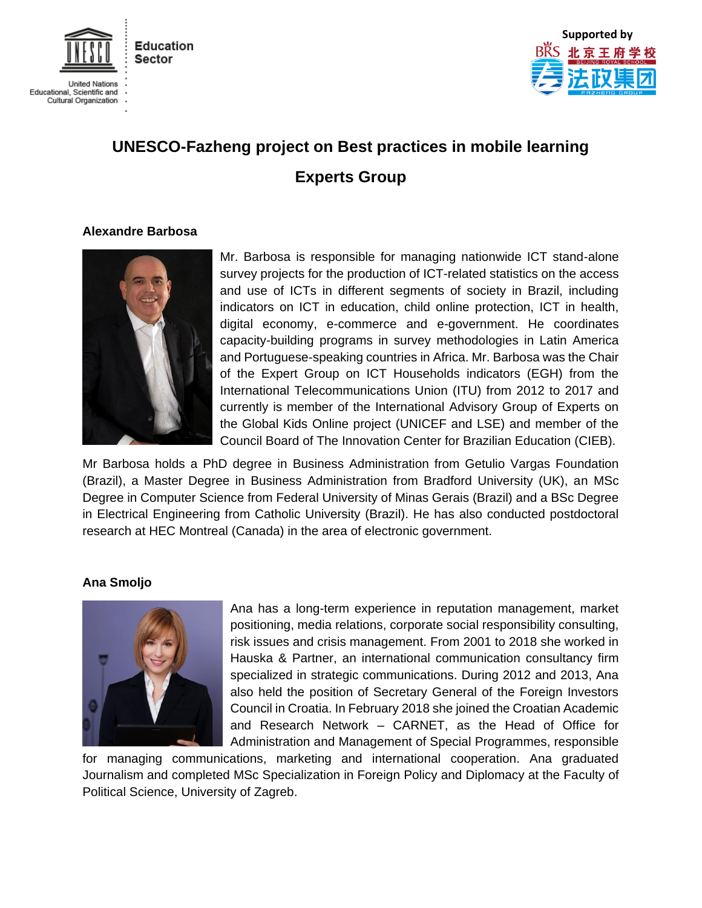



# **UNESCO-Fazheng project on Best practices in mobile learning Experts Group**

## **Alexandre Barbosa**



Mr. Barbosa is responsible for managing nationwide ICT stand-alone survey projects for the production of ICT-related statistics on the access and use of ICTs in different segments of society in Brazil, including indicators on ICT in education, child online protection, ICT in health, digital economy, e-commerce and e-government. He coordinates capacity-building programs in survey methodologies in Latin America and Portuguese-speaking countries in Africa. Mr. Barbosa was the Chair of the Expert Group on ICT Households indicators (EGH) from the International Telecommunications Union (ITU) from 2012 to 2017 and currently is member of the International Advisory Group of Experts on the Global Kids Online project (UNICEF and LSE) and member of the Council Board of The Innovation Center for Brazilian Education (CIEB).

Mr Barbosa holds a PhD degree in Business Administration from Getulio Vargas Foundation (Brazil), a Master Degree in Business Administration from Bradford University (UK), an MSc Degree in Computer Science from Federal University of Minas Gerais (Brazil) and a BSc Degree in Electrical Engineering from Catholic University (Brazil). He has also conducted postdoctoral research at HEC Montreal (Canada) in the area of electronic government.

## **Ana Smoljo**



Ana has a long-term experience in reputation management, market positioning, media relations, corporate social responsibility consulting, risk issues and crisis management. From 2001 to 2018 she worked in Hauska & Partner, an international communication consultancy firm specialized in strategic communications. During 2012 and 2013, Ana also held the position of Secretary General of the Foreign Investors Council in Croatia. In February 2018 she joined the Croatian Academic and Research Network – CARNET, as the Head of Office for Administration and Management of Special Programmes, responsible

for managing communications, marketing and international cooperation. Ana graduated Journalism and completed MSc Specialization in Foreign Policy and Diplomacy at the Faculty of Political Science, University of Zagreb.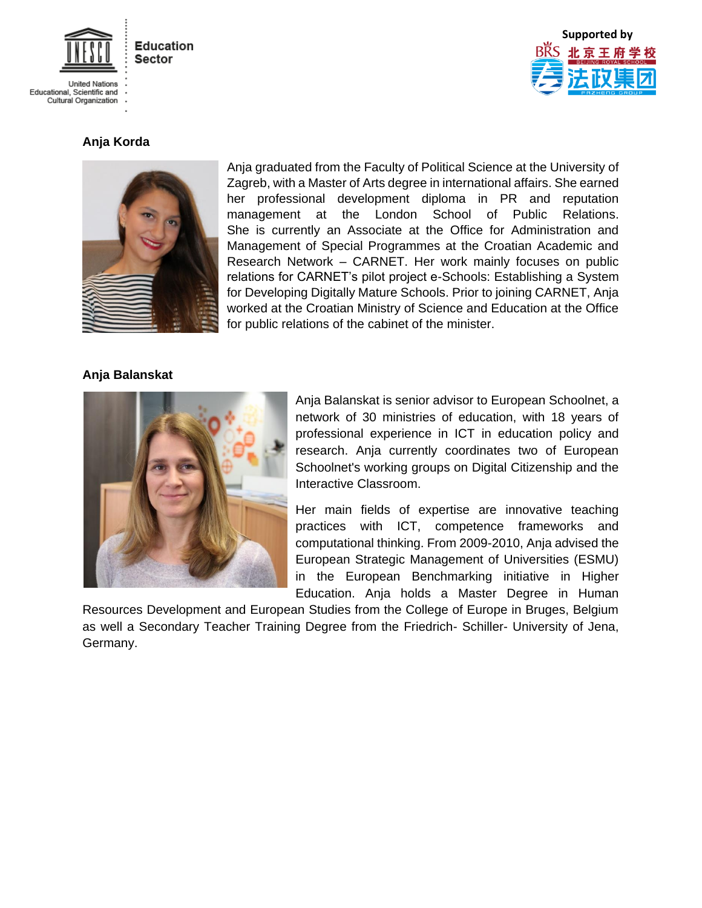

**United Nations** Educational, Scientific and<br>Cultural Organization



# **Anja Korda**



Anja graduated from the Faculty of Political Science at the University of Zagreb, with a Master of Arts degree in international affairs. She earned her professional development diploma in PR and reputation management at the London School of Public Relations. She is currently an Associate at the Office for Administration and Management of Special Programmes at the Croatian Academic and Research Network – CARNET. Her work mainly focuses on public relations for CARNET's pilot project e-Schools: Establishing a System for Developing Digitally Mature Schools. Prior to joining CARNET, Anja worked at the Croatian Ministry of Science and Education at the Office for public relations of the cabinet of the minister.

#### **Anja Balanskat**



Anja Balanskat is senior advisor to European Schoolnet, a network of 30 ministries of education, with 18 years of professional experience in ICT in education policy and research. Anja currently coordinates two of European Schoolnet's working groups on Digital Citizenship and the Interactive Classroom.

Her main fields of expertise are innovative teaching practices with ICT, competence frameworks and computational thinking. From 2009-2010, Anja advised the European Strategic Management of Universities (ESMU) in the European Benchmarking initiative in Higher Education. Anja holds a Master Degree in Human

Resources Development and European Studies from the College of Europe in Bruges, Belgium as well a Secondary Teacher Training Degree from the Friedrich- Schiller- University of Jena, Germany.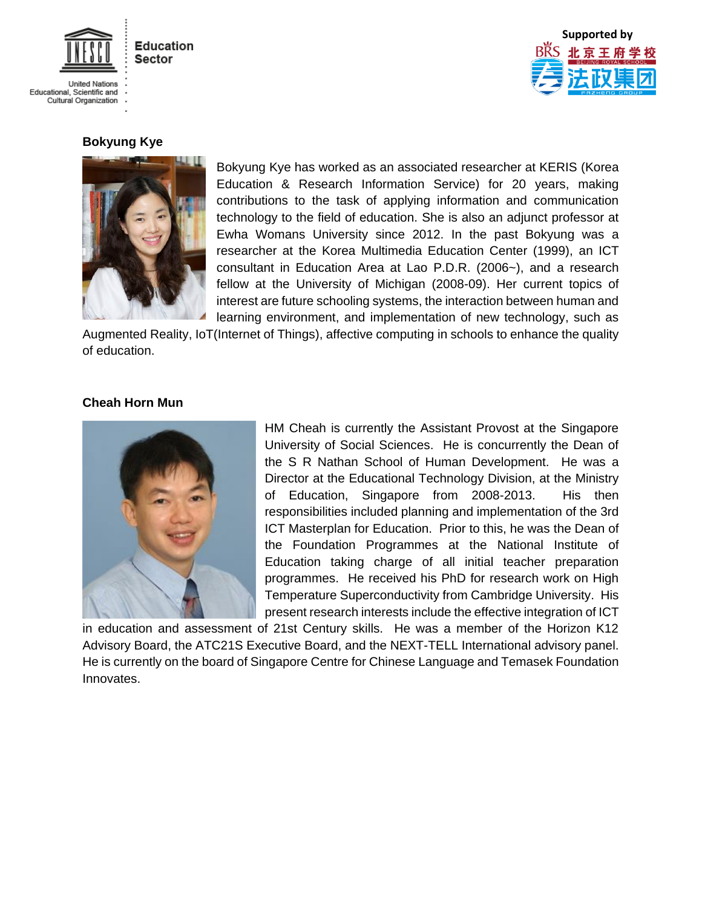

**United Nations** Educational, Scientific and Cultural Organization



# **Bokyung Kye**



Bokyung Kye has worked as an associated researcher at KERIS (Korea Education & Research Information Service) for 20 years, making contributions to the task of applying information and communication technology to the field of education. She is also an adjunct professor at Ewha Womans University since 2012. In the past Bokyung was a researcher at the Korea Multimedia Education Center (1999), an ICT consultant in Education Area at Lao P.D.R. (2006~), and a research fellow at the University of Michigan (2008-09). Her current topics of interest are future schooling systems, the interaction between human and learning environment, and implementation of new technology, such as

Augmented Reality, IoT(Internet of Things), affective computing in schools to enhance the quality of education.

#### **Cheah Horn Mun**



HM Cheah is currently the Assistant Provost at the Singapore University of Social Sciences. He is concurrently the Dean of the S R Nathan School of Human Development. He was a Director at the Educational Technology Division, at the Ministry of Education, Singapore from 2008-2013. His then responsibilities included planning and implementation of the 3rd ICT Masterplan for Education. Prior to this, he was the Dean of the Foundation Programmes at the National Institute of Education taking charge of all initial teacher preparation programmes. He received his PhD for research work on High Temperature Superconductivity from Cambridge University. His present research interests include the effective integration of ICT

in education and assessment of 21st Century skills. He was a member of the Horizon K12 Advisory Board, the ATC21S Executive Board, and the NEXT-TELL International advisory panel. He is currently on the board of Singapore Centre for Chinese Language and Temasek Foundation Innovates.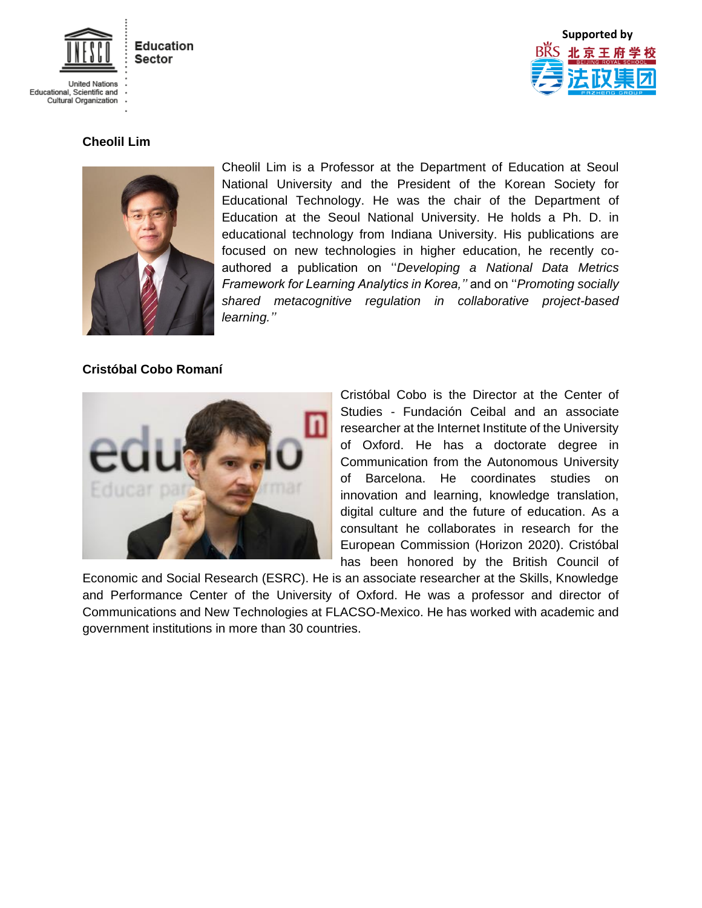

**United Nations** Educational, Scientific and Cultural Organization



# **Cheolil Lim**



Cheolil Lim is a Professor at the Department of Education at Seoul National University and the President of the Korean Society for Educational Technology. He was the chair of the Department of Education at the Seoul National University. He holds a Ph. D. in educational technology from Indiana University. His publications are focused on new technologies in higher education, he recently coauthored a publication on ''*Developing a National Data Metrics Framework for Learning Analytics in Korea,''* and on ''*Promoting socially shared metacognitive regulation in collaborative project-based learning.''* 

## **Cristóbal Cobo Romaní**



Cristóbal Cobo is the Director at the Center of Studies - Fundación Ceibal and an associate researcher at the Internet Institute of the University of Oxford. He has a doctorate degree in Communication from the Autonomous University of Barcelona. He coordinates studies on innovation and learning, knowledge translation, digital culture and the future of education. As a consultant he collaborates in research for the European Commission (Horizon 2020). Cristóbal has been honored by the British Council of

Economic and Social Research (ESRC). He is an associate researcher at the Skills, Knowledge and Performance Center of the University of Oxford. He was a professor and director of Communications and New Technologies at FLACSO-Mexico. He has worked with academic and government institutions in more than 30 countries.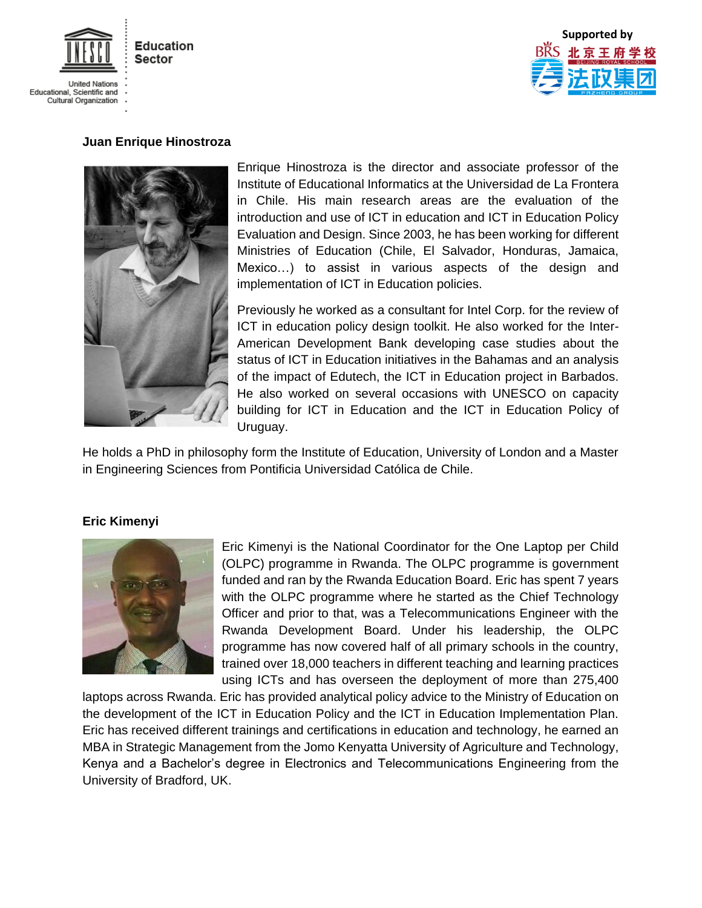

**United Nations** Educational, Scientific and Cultural Organization



#### **Juan Enrique Hinostroza**



Enrique Hinostroza is the director and associate professor of the Institute of Educational Informatics at the Universidad de La Frontera in Chile. His main research areas are the evaluation of the introduction and use of ICT in education and ICT in Education Policy Evaluation and Design. Since 2003, he has been working for different Ministries of Education (Chile, El Salvador, Honduras, Jamaica, Mexico…) to assist in various aspects of the design and implementation of ICT in Education policies.

Previously he worked as a consultant for Intel Corp. for the review of ICT in education policy design toolkit. He also worked for the Inter-American Development Bank developing case studies about the status of ICT in Education initiatives in the Bahamas and an analysis of the impact of Edutech, the ICT in Education project in Barbados. He also worked on several occasions with UNESCO on capacity building for ICT in Education and the ICT in Education Policy of Uruguay.

He holds a PhD in philosophy form the Institute of Education, University of London and a Master in Engineering Sciences from Pontificia Universidad Católica de Chile.

#### **Eric Kimenyi**



Eric Kimenyi is the National Coordinator for the One Laptop per Child (OLPC) programme in Rwanda. The OLPC programme is government funded and ran by the Rwanda Education Board. Eric has spent 7 years with the OLPC programme where he started as the Chief Technology Officer and prior to that, was a Telecommunications Engineer with the Rwanda Development Board. Under his leadership, the OLPC programme has now covered half of all primary schools in the country, trained over 18,000 teachers in different teaching and learning practices using ICTs and has overseen the deployment of more than 275,400

laptops across Rwanda. Eric has provided analytical policy advice to the Ministry of Education on the development of the ICT in Education Policy and the ICT in Education Implementation Plan. Eric has received different trainings and certifications in education and technology, he earned an MBA in Strategic Management from the Jomo Kenyatta University of Agriculture and Technology, Kenya and a Bachelor's degree in Electronics and Telecommunications Engineering from the University of Bradford, UK.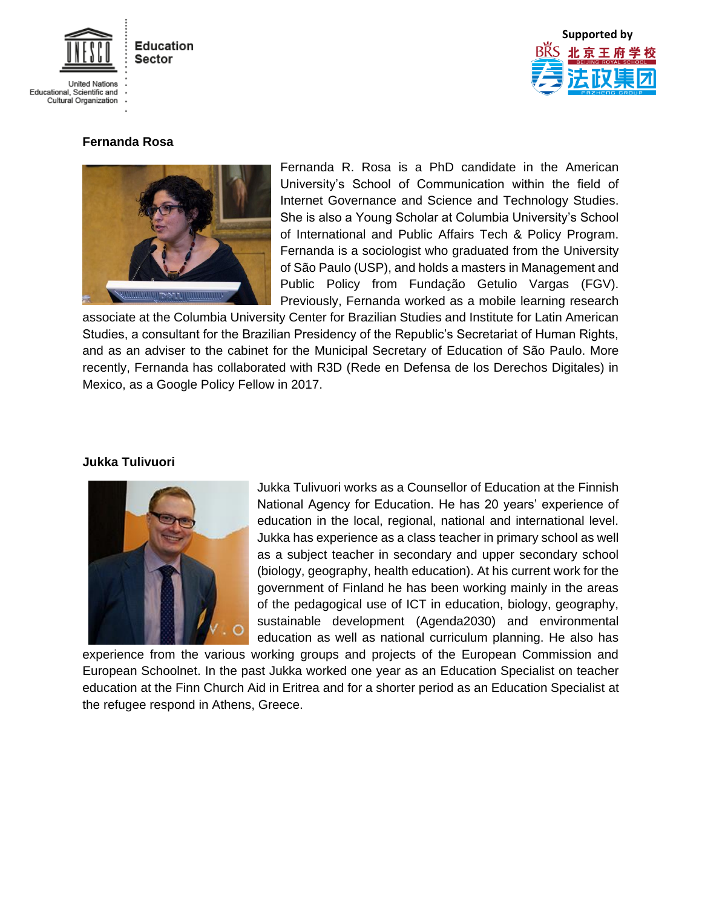

**United Nations** Educational, Scientific and Cultural Organization



# **Fernanda Rosa**



Fernanda R. Rosa is a PhD candidate in the American University's School of Communication within the field of Internet Governance and Science and Technology Studies. She is also a Young Scholar at Columbia University's School of International and Public Affairs Tech & Policy Program. Fernanda is a sociologist who graduated from the University of São Paulo (USP), and holds a masters in Management and Public Policy from Fundação Getulio Vargas (FGV). Previously, Fernanda worked as a mobile learning research

associate at the Columbia University Center for Brazilian Studies and Institute for Latin American Studies, a consultant for the Brazilian Presidency of the Republic's Secretariat of Human Rights, and as an adviser to the cabinet for the Municipal Secretary of Education of São Paulo. More recently, Fernanda has collaborated with R3D (Rede en Defensa de los Derechos Digitales) in Mexico, as a Google Policy Fellow in 2017.

## **Jukka Tulivuori**



Jukka Tulivuori works as a Counsellor of Education at the Finnish National Agency for Education. He has 20 years' experience of education in the local, regional, national and international level. Jukka has experience as a class teacher in primary school as well as a subject teacher in secondary and upper secondary school (biology, geography, health education). At his current work for the government of Finland he has been working mainly in the areas of the pedagogical use of ICT in education, biology, geography, sustainable development (Agenda2030) and environmental education as well as national curriculum planning. He also has

experience from the various working groups and projects of the European Commission and European Schoolnet. In the past Jukka worked one year as an Education Specialist on teacher education at the Finn Church Aid in Eritrea and for a shorter period as an Education Specialist at the refugee respond in Athens, Greece.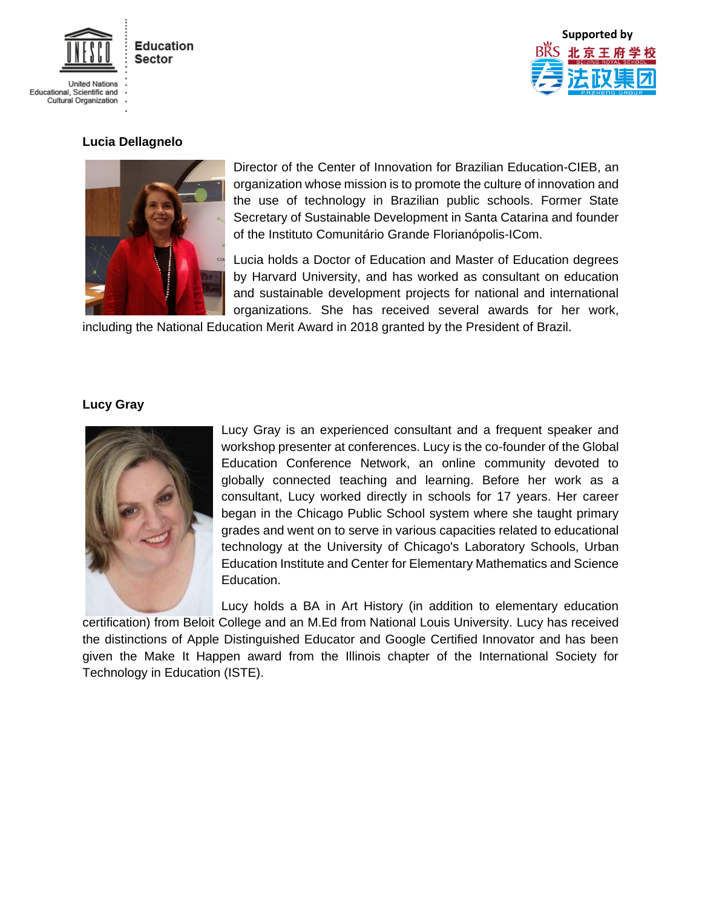

**United Nations** Educational, Scientific and<br>Cultural Organization



## **Lucia Dellagnelo**



Director of the Center of Innovation for Brazilian Education-CIEB, an organization whose mission is to promote the culture of innovation and the use of technology in Brazilian public schools. Former State Secretary of Sustainable Development in Santa Catarina and founder of the Instituto Comunitário Grande Florianópolis-ICom.

Lucia holds a Doctor of Education and Master of Education degrees by Harvard University, and has worked as consultant on education and sustainable development projects for national and international organizations. She has received several awards for her work,

including the National Education Merit Award in 2018 granted by the President of Brazil.

## **Lucy Gray**



Lucy Gray is an experienced consultant and a frequent speaker and workshop presenter at conferences. Lucy is the co-founder of the Global Education Conference Network, an online community devoted to globally connected teaching and learning. Before her work as a consultant, Lucy worked directly in schools for 17 years. Her career began in the Chicago Public School system where she taught primary grades and went on to serve in various capacities related to educational technology at the University of Chicago's Laboratory Schools, Urban Education Institute and Center for Elementary Mathematics and Science Education.

Lucy holds a BA in Art History (in addition to elementary education certification) from Beloit College and an M.Ed from National Louis University. Lucy has received the distinctions of Apple Distinguished Educator and Google Certified Innovator and has been given the Make It Happen award from the Illinois chapter of the International Society for Technology in Education (ISTE).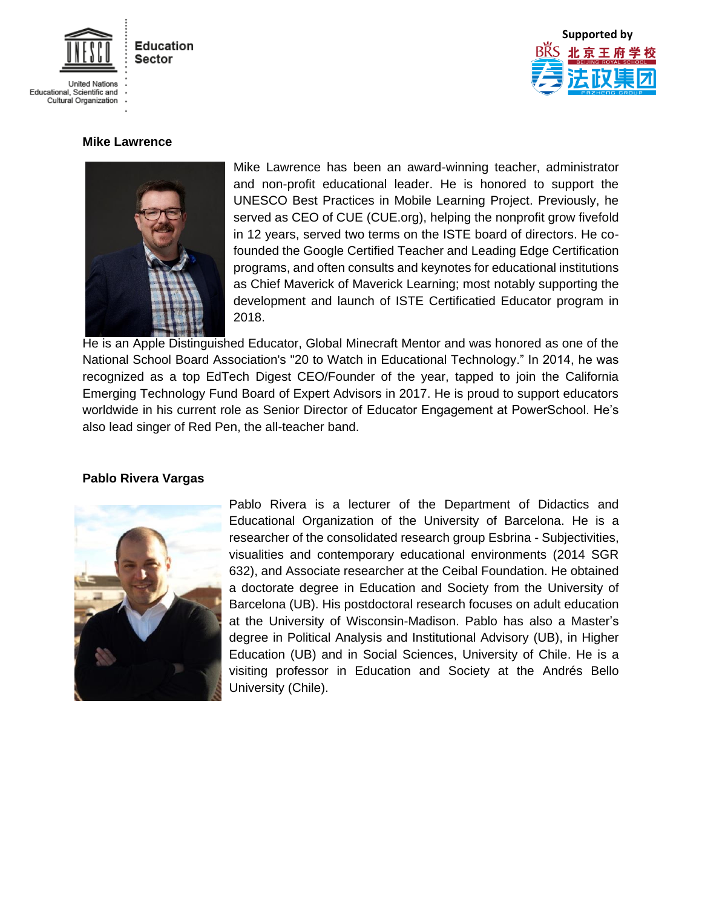

**United Nations** Educational, Scientific and Cultural Organization



## **Mike Lawrence**



Mike Lawrence has been an award-winning teacher, administrator and non-profit educational leader. He is honored to support the UNESCO Best Practices in Mobile Learning Project. Previously, he served as CEO of CUE (CUE.org), helping the nonprofit grow fivefold in 12 years, served two terms on the ISTE board of directors. He cofounded the Google Certified Teacher and Leading Edge Certification programs, and often consults and keynotes for educational institutions as Chief Maverick of Maverick Learning; most notably supporting the development and launch of ISTE Certificatied Educator program in 2018.

He is an Apple Distinguished Educator, Global Minecraft Mentor and was honored as one of the National School Board Association's "20 to Watch in Educational Technology." In 2014, he was recognized as a top EdTech Digest CEO/Founder of the year, tapped to join the California Emerging Technology Fund Board of Expert Advisors in 2017. He is proud to support educators worldwide in his current role as Senior Director of Educator Engagement at PowerSchool. He's also lead singer of Red Pen, the all-teacher band.

## **Pablo Rivera Vargas**



Pablo Rivera is a lecturer of the Department of Didactics and Educational Organization of the University of Barcelona. He is a researcher of the consolidated research group Esbrina - Subjectivities, visualities and contemporary educational environments (2014 SGR 632), and Associate researcher at the Ceibal Foundation. He obtained a doctorate degree in Education and Society from the University of Barcelona (UB). His postdoctoral research focuses on adult education at the University of Wisconsin-Madison. Pablo has also a Master's degree in Political Analysis and Institutional Advisory (UB), in Higher Education (UB) and in Social Sciences, University of Chile. He is a visiting professor in Education and Society at the Andrés Bello University (Chile).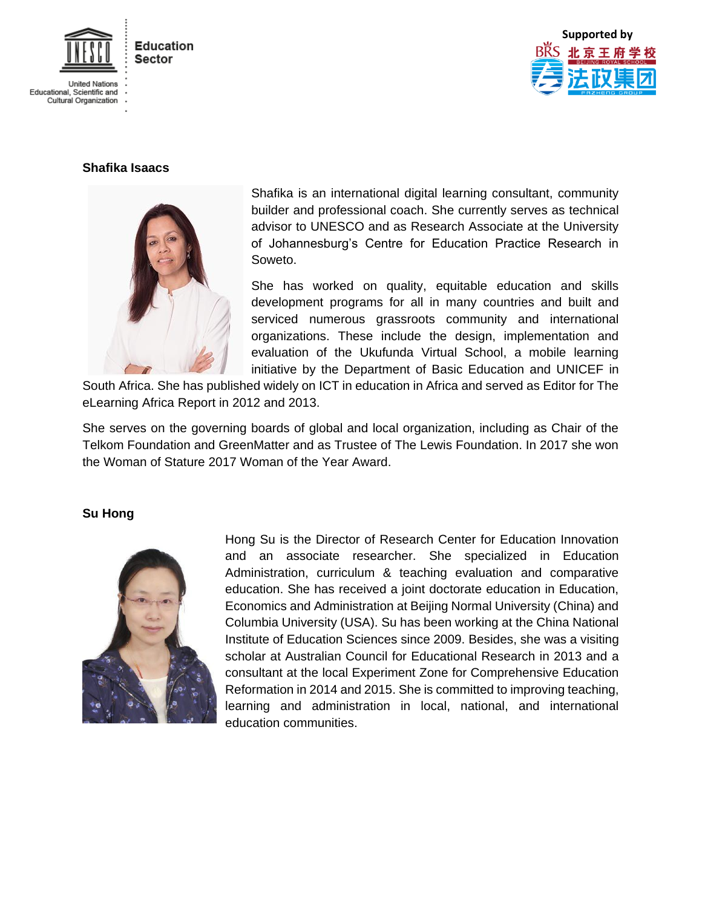



## **Shafika Isaacs**



Shafika is an international digital learning consultant, community builder and professional coach. She currently serves as technical advisor to UNESCO and as Research Associate at the University of Johannesburg's Centre for Education Practice Research in Soweto.

She has worked on quality, equitable education and skills development programs for all in many countries and built and serviced numerous grassroots community and international organizations. These include the design, implementation and evaluation of the Ukufunda Virtual School, a mobile learning initiative by the Department of Basic Education and UNICEF in

South Africa. She has published widely on ICT in education in Africa and served as Editor for The eLearning Africa Report in 2012 and 2013.

She serves on the governing boards of global and local organization, including as Chair of the Telkom Foundation and GreenMatter and as Trustee of The Lewis Foundation. In 2017 she won the Woman of Stature 2017 Woman of the Year Award.

## **Su Hong**



Hong Su is the Director of Research Center for Education Innovation and an associate researcher. She specialized in Education Administration, curriculum & teaching evaluation and comparative education. She has received a joint doctorate education in Education, Economics and Administration at Beijing Normal University (China) and Columbia University (USA). Su has been working at the China National Institute of Education Sciences since 2009. Besides, she was a visiting scholar at Australian Council for Educational Research in 2013 and a consultant at the local Experiment Zone for Comprehensive Education Reformation in 2014 and 2015. She is committed to improving teaching, learning and administration in local, national, and international education communities.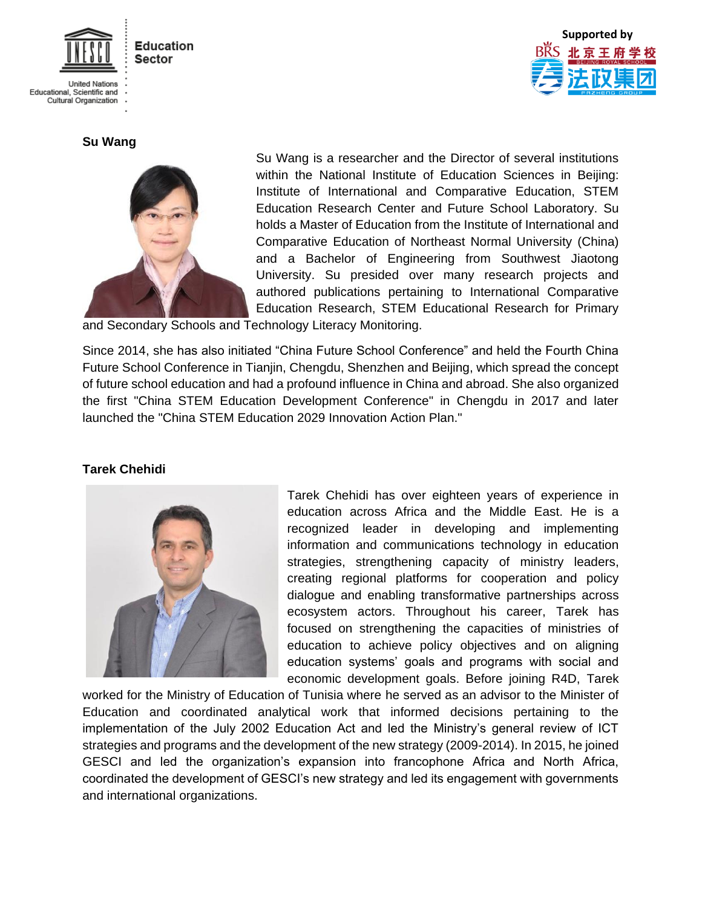

**United Nations** Educational, Scientific and<br>Cultural Organization

**Su Wang** 



Su Wang is a researcher and the Director of several institutions within the National Institute of Education Sciences in Beijing: Institute of International and Comparative Education, STEM Education Research Center and Future School Laboratory. Su holds a Master of Education from the Institute of International and Comparative Education of Northeast Normal University (China) and a Bachelor of Engineering from Southwest Jiaotong University. Su presided over many research projects and authored publications pertaining to International Comparative Education Research, STEM Educational Research for Primary

**Supported by**

and Secondary Schools and Technology Literacy Monitoring.

Since 2014, she has also initiated "China Future School Conference" and held the Fourth China Future School Conference in Tianjin, Chengdu, Shenzhen and Beijing, which spread the concept of future school education and had a profound influence in China and abroad. She also organized the first "China STEM Education Development Conference" in Chengdu in 2017 and later launched the "China STEM Education 2029 Innovation Action Plan."

## **Tarek Chehidi**



Tarek Chehidi has over eighteen years of experience in education across Africa and the Middle East. He is a recognized leader in developing and implementing information and communications technology in education strategies, strengthening capacity of ministry leaders, creating regional platforms for cooperation and policy dialogue and enabling transformative partnerships across ecosystem actors. Throughout his career, Tarek has focused on strengthening the capacities of ministries of education to achieve policy objectives and on aligning education systems' goals and programs with social and economic development goals. Before joining R4D, Tarek

worked for the Ministry of Education of Tunisia where he served as an advisor to the Minister of Education and coordinated analytical work that informed decisions pertaining to the implementation of the July 2002 Education Act and led the Ministry's general review of ICT strategies and programs and the development of the new strategy (2009-2014). In 2015, he joined GESCI and led the organization's expansion into francophone Africa and North Africa, coordinated the development of GESCI's new strategy and led its engagement with governments and international organizations.